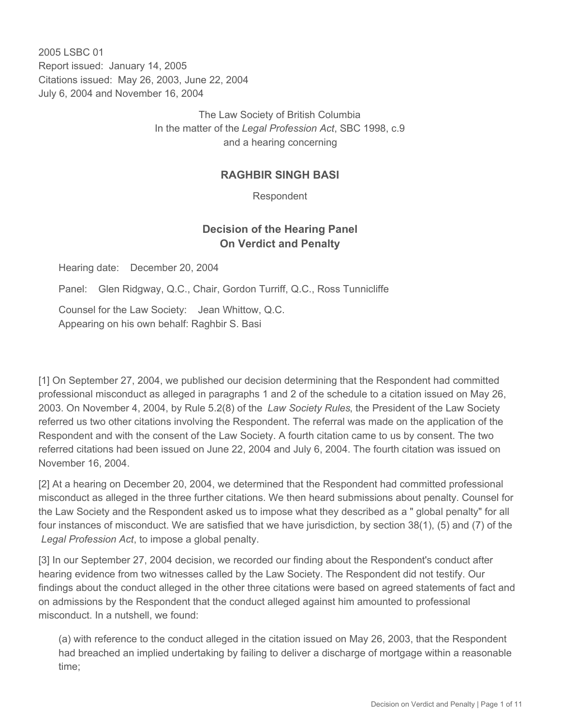2005 LSBC 01 Report issued: January 14, 2005 Citations issued: May 26, 2003, June 22, 2004 July 6, 2004 and November 16, 2004

> The Law Society of British Columbia In the matter of the *Legal Profession Act*, SBC 1998, c.9 and a hearing concerning

## **RAGHBIR SINGH BASI**

Respondent

# **Decision of the Hearing Panel On Verdict and Penalty**

Hearing date: December 20, 2004

Panel: Glen Ridgway, Q.C., Chair, Gordon Turriff, Q.C., Ross Tunnicliffe

Counsel for the Law Society: Jean Whittow, Q.C. Appearing on his own behalf: Raghbir S. Basi

[1] On September 27, 2004, we published our decision determining that the Respondent had committed professional misconduct as alleged in paragraphs 1 and 2 of the schedule to a citation issued on May 26, 2003. On November 4, 2004, by Rule 5.2(8) of the *Law Society Rules*, the President of the Law Society referred us two other citations involving the Respondent. The referral was made on the application of the Respondent and with the consent of the Law Society. A fourth citation came to us by consent. The two referred citations had been issued on June 22, 2004 and July 6, 2004. The fourth citation was issued on November 16, 2004.

[2] At a hearing on December 20, 2004, we determined that the Respondent had committed professional misconduct as alleged in the three further citations. We then heard submissions about penalty. Counsel for the Law Society and the Respondent asked us to impose what they described as a " global penalty" for all four instances of misconduct. We are satisfied that we have jurisdiction, by section 38(1), (5) and (7) of the *Legal Profession Act*, to impose a global penalty.

[3] In our September 27, 2004 decision, we recorded our finding about the Respondent's conduct after hearing evidence from two witnesses called by the Law Society. The Respondent did not testify. Our findings about the conduct alleged in the other three citations were based on agreed statements of fact and on admissions by the Respondent that the conduct alleged against him amounted to professional misconduct. In a nutshell, we found:

(a) with reference to the conduct alleged in the citation issued on May 26, 2003, that the Respondent had breached an implied undertaking by failing to deliver a discharge of mortgage within a reasonable time;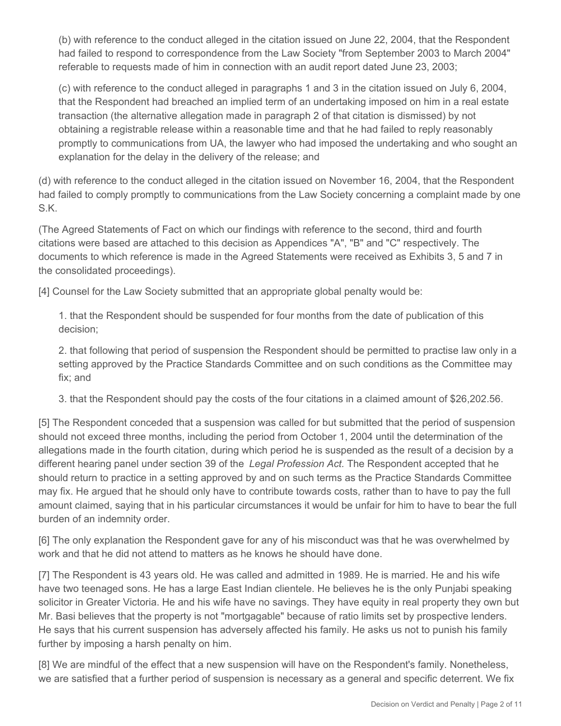(b) with reference to the conduct alleged in the citation issued on June 22, 2004, that the Respondent had failed to respond to correspondence from the Law Society "from September 2003 to March 2004" referable to requests made of him in connection with an audit report dated June 23, 2003;

(c) with reference to the conduct alleged in paragraphs 1 and 3 in the citation issued on July 6, 2004, that the Respondent had breached an implied term of an undertaking imposed on him in a real estate transaction (the alternative allegation made in paragraph 2 of that citation is dismissed) by not obtaining a registrable release within a reasonable time and that he had failed to reply reasonably promptly to communications from UA, the lawyer who had imposed the undertaking and who sought an explanation for the delay in the delivery of the release; and

(d) with reference to the conduct alleged in the citation issued on November 16, 2004, that the Respondent had failed to comply promptly to communications from the Law Society concerning a complaint made by one S.K.

(The Agreed Statements of Fact on which our findings with reference to the second, third and fourth citations were based are attached to this decision as Appendices "A", "B" and "C" respectively. The documents to which reference is made in the Agreed Statements were received as Exhibits 3, 5 and 7 in the consolidated proceedings).

[4] Counsel for the Law Society submitted that an appropriate global penalty would be:

1. that the Respondent should be suspended for four months from the date of publication of this decision;

2. that following that period of suspension the Respondent should be permitted to practise law only in a setting approved by the Practice Standards Committee and on such conditions as the Committee may fix; and

3. that the Respondent should pay the costs of the four citations in a claimed amount of \$26,202.56.

[5] The Respondent conceded that a suspension was called for but submitted that the period of suspension should not exceed three months, including the period from October 1, 2004 until the determination of the allegations made in the fourth citation, during which period he is suspended as the result of a decision by a different hearing panel under section 39 of the *Legal Profession Act.* The Respondent accepted that he should return to practice in a setting approved by and on such terms as the Practice Standards Committee may fix. He argued that he should only have to contribute towards costs, rather than to have to pay the full amount claimed, saying that in his particular circumstances it would be unfair for him to have to bear the full burden of an indemnity order.

[6] The only explanation the Respondent gave for any of his misconduct was that he was overwhelmed by work and that he did not attend to matters as he knows he should have done.

[7] The Respondent is 43 years old. He was called and admitted in 1989. He is married. He and his wife have two teenaged sons. He has a large East Indian clientele. He believes he is the only Punjabi speaking solicitor in Greater Victoria. He and his wife have no savings. They have equity in real property they own but Mr. Basi believes that the property is not "mortgagable" because of ratio limits set by prospective lenders. He says that his current suspension has adversely affected his family. He asks us not to punish his family further by imposing a harsh penalty on him.

[8] We are mindful of the effect that a new suspension will have on the Respondent's family. Nonetheless, we are satisfied that a further period of suspension is necessary as a general and specific deterrent. We fix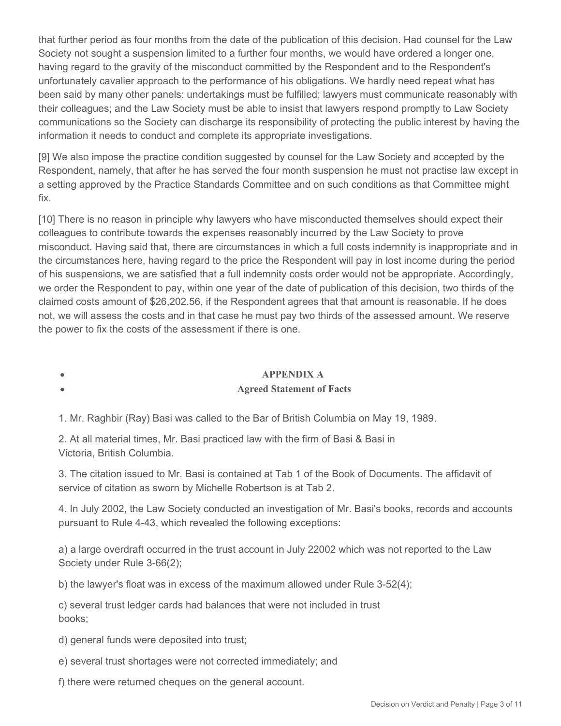that further period as four months from the date of the publication of this decision. Had counsel for the Law Society not sought a suspension limited to a further four months, we would have ordered a longer one, having regard to the gravity of the misconduct committed by the Respondent and to the Respondent's unfortunately cavalier approach to the performance of his obligations. We hardly need repeat what has been said by many other panels: undertakings must be fulfilled; lawyers must communicate reasonably with their colleagues; and the Law Society must be able to insist that lawyers respond promptly to Law Society communications so the Society can discharge its responsibility of protecting the public interest by having the information it needs to conduct and complete its appropriate investigations.

[9] We also impose the practice condition suggested by counsel for the Law Society and accepted by the Respondent, namely, that after he has served the four month suspension he must not practise law except in a setting approved by the Practice Standards Committee and on such conditions as that Committee might fix.

[10] There is no reason in principle why lawyers who have misconducted themselves should expect their colleagues to contribute towards the expenses reasonably incurred by the Law Society to prove misconduct. Having said that, there are circumstances in which a full costs indemnity is inappropriate and in the circumstances here, having regard to the price the Respondent will pay in lost income during the period of his suspensions, we are satisfied that a full indemnity costs order would not be appropriate. Accordingly, we order the Respondent to pay, within one year of the date of publication of this decision, two thirds of the claimed costs amount of \$26,202.56, if the Respondent agrees that that amount is reasonable. If he does not, we will assess the costs and in that case he must pay two thirds of the assessed amount. We reserve the power to fix the costs of the assessment if there is one.

#### **APPENDIX A**

#### **Agreed Statement of Facts**

1. Mr. Raghbir (Ray) Basi was called to the Bar of British Columbia on May 19, 1989.

2. At all material times, Mr. Basi practiced law with the firm of Basi & Basi in Victoria, British Columbia.

3. The citation issued to Mr. Basi is contained at Tab 1 of the Book of Documents. The affidavit of service of citation as sworn by Michelle Robertson is at Tab 2.

4. In July 2002, the Law Society conducted an investigation of Mr. Basi's books, records and accounts pursuant to Rule 4-43, which revealed the following exceptions:

a) a large overdraft occurred in the trust account in July 22002 which was not reported to the Law Society under Rule 3-66(2);

b) the lawyer's float was in excess of the maximum allowed under Rule 3-52(4);

c) several trust ledger cards had balances that were not included in trust books;

d) general funds were deposited into trust;

 $\bullet$ 

e) several trust shortages were not corrected immediately; and

f) there were returned cheques on the general account.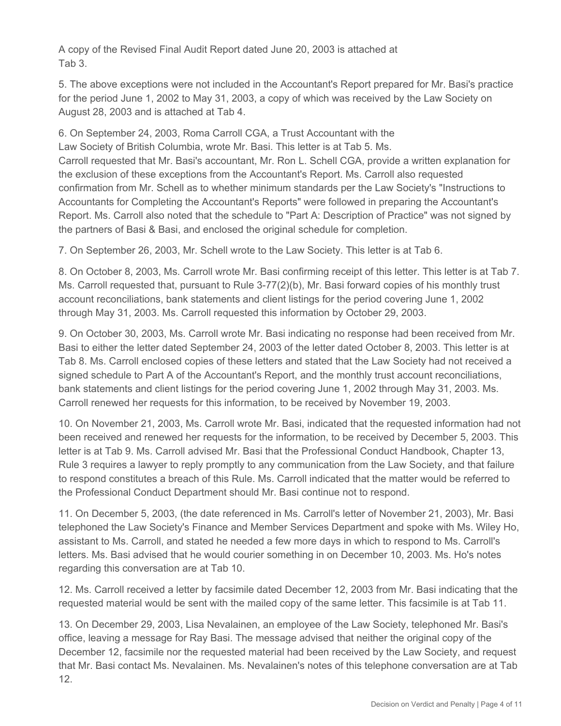A copy of the Revised Final Audit Report dated June 20, 2003 is attached at Tab 3.

5. The above exceptions were not included in the Accountant's Report prepared for Mr. Basi's practice for the period June 1, 2002 to May 31, 2003, a copy of which was received by the Law Society on August 28, 2003 and is attached at Tab 4.

6. On September 24, 2003, Roma Carroll CGA, a Trust Accountant with the Law Society of British Columbia, wrote Mr. Basi. This letter is at Tab 5. Ms. Carroll requested that Mr. Basi's accountant, Mr. Ron L. Schell CGA, provide a written explanation for the exclusion of these exceptions from the Accountant's Report. Ms. Carroll also requested confirmation from Mr. Schell as to whether minimum standards per the Law Society's "Instructions to Accountants for Completing the Accountant's Reports" were followed in preparing the Accountant's Report. Ms. Carroll also noted that the schedule to "Part A: Description of Practice" was not signed by the partners of Basi & Basi, and enclosed the original schedule for completion.

7. On September 26, 2003, Mr. Schell wrote to the Law Society. This letter is at Tab 6.

8. On October 8, 2003, Ms. Carroll wrote Mr. Basi confirming receipt of this letter. This letter is at Tab 7. Ms. Carroll requested that, pursuant to Rule 3-77(2)(b), Mr. Basi forward copies of his monthly trust account reconciliations, bank statements and client listings for the period covering June 1, 2002 through May 31, 2003. Ms. Carroll requested this information by October 29, 2003.

9. On October 30, 2003, Ms. Carroll wrote Mr. Basi indicating no response had been received from Mr. Basi to either the letter dated September 24, 2003 of the letter dated October 8, 2003. This letter is at Tab 8. Ms. Carroll enclosed copies of these letters and stated that the Law Society had not received a signed schedule to Part A of the Accountant's Report, and the monthly trust account reconciliations, bank statements and client listings for the period covering June 1, 2002 through May 31, 2003. Ms. Carroll renewed her requests for this information, to be received by November 19, 2003.

10. On November 21, 2003, Ms. Carroll wrote Mr. Basi, indicated that the requested information had not been received and renewed her requests for the information, to be received by December 5, 2003. This letter is at Tab 9. Ms. Carroll advised Mr. Basi that the Professional Conduct Handbook, Chapter 13, Rule 3 requires a lawyer to reply promptly to any communication from the Law Society, and that failure to respond constitutes a breach of this Rule. Ms. Carroll indicated that the matter would be referred to the Professional Conduct Department should Mr. Basi continue not to respond.

11. On December 5, 2003, (the date referenced in Ms. Carroll's letter of November 21, 2003), Mr. Basi telephoned the Law Society's Finance and Member Services Department and spoke with Ms. Wiley Ho, assistant to Ms. Carroll, and stated he needed a few more days in which to respond to Ms. Carroll's letters. Ms. Basi advised that he would courier something in on December 10, 2003. Ms. Ho's notes regarding this conversation are at Tab 10.

12. Ms. Carroll received a letter by facsimile dated December 12, 2003 from Mr. Basi indicating that the requested material would be sent with the mailed copy of the same letter. This facsimile is at Tab 11.

13. On December 29, 2003, Lisa Nevalainen, an employee of the Law Society, telephoned Mr. Basi's office, leaving a message for Ray Basi. The message advised that neither the original copy of the December 12, facsimile nor the requested material had been received by the Law Society, and request that Mr. Basi contact Ms. Nevalainen. Ms. Nevalainen's notes of this telephone conversation are at Tab 12.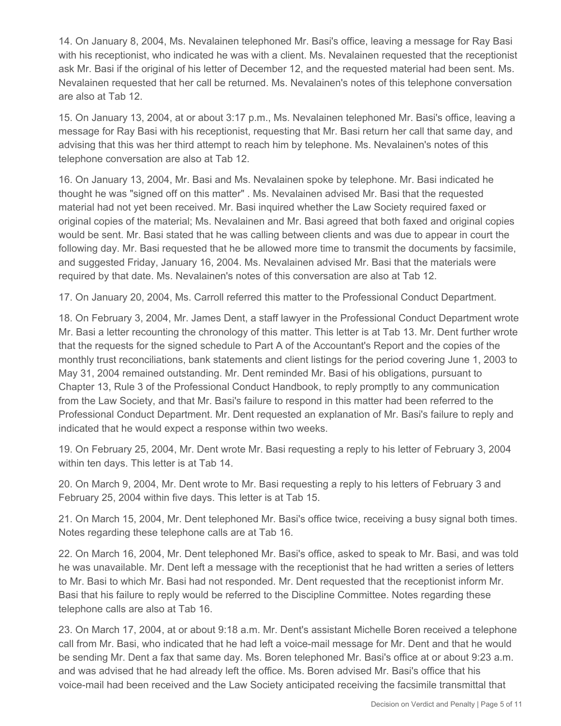14. On January 8, 2004, Ms. Nevalainen telephoned Mr. Basi's office, leaving a message for Ray Basi with his receptionist, who indicated he was with a client. Ms. Nevalainen requested that the receptionist ask Mr. Basi if the original of his letter of December 12, and the requested material had been sent. Ms. Nevalainen requested that her call be returned. Ms. Nevalainen's notes of this telephone conversation are also at Tab 12.

15. On January 13, 2004, at or about 3:17 p.m., Ms. Nevalainen telephoned Mr. Basi's office, leaving a message for Ray Basi with his receptionist, requesting that Mr. Basi return her call that same day, and advising that this was her third attempt to reach him by telephone. Ms. Nevalainen's notes of this telephone conversation are also at Tab 12.

16. On January 13, 2004, Mr. Basi and Ms. Nevalainen spoke by telephone. Mr. Basi indicated he thought he was "signed off on this matter" . Ms. Nevalainen advised Mr. Basi that the requested material had not yet been received. Mr. Basi inquired whether the Law Society required faxed or original copies of the material; Ms. Nevalainen and Mr. Basi agreed that both faxed and original copies would be sent. Mr. Basi stated that he was calling between clients and was due to appear in court the following day. Mr. Basi requested that he be allowed more time to transmit the documents by facsimile, and suggested Friday, January 16, 2004. Ms. Nevalainen advised Mr. Basi that the materials were required by that date. Ms. Nevalainen's notes of this conversation are also at Tab 12.

17. On January 20, 2004, Ms. Carroll referred this matter to the Professional Conduct Department.

18. On February 3, 2004, Mr. James Dent, a staff lawyer in the Professional Conduct Department wrote Mr. Basi a letter recounting the chronology of this matter. This letter is at Tab 13. Mr. Dent further wrote that the requests for the signed schedule to Part A of the Accountant's Report and the copies of the monthly trust reconciliations, bank statements and client listings for the period covering June 1, 2003 to May 31, 2004 remained outstanding. Mr. Dent reminded Mr. Basi of his obligations, pursuant to Chapter 13, Rule 3 of the Professional Conduct Handbook, to reply promptly to any communication from the Law Society, and that Mr. Basi's failure to respond in this matter had been referred to the Professional Conduct Department. Mr. Dent requested an explanation of Mr. Basi's failure to reply and indicated that he would expect a response within two weeks.

19. On February 25, 2004, Mr. Dent wrote Mr. Basi requesting a reply to his letter of February 3, 2004 within ten days. This letter is at Tab 14.

20. On March 9, 2004, Mr. Dent wrote to Mr. Basi requesting a reply to his letters of February 3 and February 25, 2004 within five days. This letter is at Tab 15.

21. On March 15, 2004, Mr. Dent telephoned Mr. Basi's office twice, receiving a busy signal both times. Notes regarding these telephone calls are at Tab 16.

22. On March 16, 2004, Mr. Dent telephoned Mr. Basi's office, asked to speak to Mr. Basi, and was told he was unavailable. Mr. Dent left a message with the receptionist that he had written a series of letters to Mr. Basi to which Mr. Basi had not responded. Mr. Dent requested that the receptionist inform Mr. Basi that his failure to reply would be referred to the Discipline Committee. Notes regarding these telephone calls are also at Tab 16.

23. On March 17, 2004, at or about 9:18 a.m. Mr. Dent's assistant Michelle Boren received a telephone call from Mr. Basi, who indicated that he had left a voice-mail message for Mr. Dent and that he would be sending Mr. Dent a fax that same day. Ms. Boren telephoned Mr. Basi's office at or about 9:23 a.m. and was advised that he had already left the office. Ms. Boren advised Mr. Basi's office that his voice-mail had been received and the Law Society anticipated receiving the facsimile transmittal that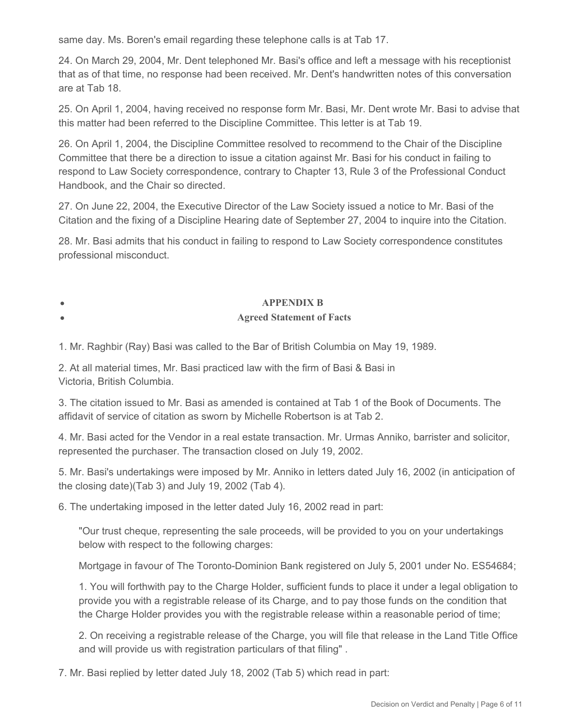same day. Ms. Boren's email regarding these telephone calls is at Tab 17.

24. On March 29, 2004, Mr. Dent telephoned Mr. Basi's office and left a message with his receptionist that as of that time, no response had been received. Mr. Dent's handwritten notes of this conversation are at Tab 18.

25. On April 1, 2004, having received no response form Mr. Basi, Mr. Dent wrote Mr. Basi to advise that this matter had been referred to the Discipline Committee. This letter is at Tab 19.

26. On April 1, 2004, the Discipline Committee resolved to recommend to the Chair of the Discipline Committee that there be a direction to issue a citation against Mr. Basi for his conduct in failing to respond to Law Society correspondence, contrary to Chapter 13, Rule 3 of the Professional Conduct Handbook, and the Chair so directed.

27. On June 22, 2004, the Executive Director of the Law Society issued a notice to Mr. Basi of the Citation and the fixing of a Discipline Hearing date of September 27, 2004 to inquire into the Citation.

28. Mr. Basi admits that his conduct in failing to respond to Law Society correspondence constitutes professional misconduct.

## **APPENDIX B**

#### **Agreed Statement of Facts**

1. Mr. Raghbir (Ray) Basi was called to the Bar of British Columbia on May 19, 1989.

2. At all material times, Mr. Basi practiced law with the firm of Basi & Basi in Victoria, British Columbia.

3. The citation issued to Mr. Basi as amended is contained at Tab 1 of the Book of Documents. The affidavit of service of citation as sworn by Michelle Robertson is at Tab 2.

4. Mr. Basi acted for the Vendor in a real estate transaction. Mr. Urmas Anniko, barrister and solicitor, represented the purchaser. The transaction closed on July 19, 2002.

5. Mr. Basi's undertakings were imposed by Mr. Anniko in letters dated July 16, 2002 (in anticipation of the closing date)(Tab 3) and July 19, 2002 (Tab 4).

6. The undertaking imposed in the letter dated July 16, 2002 read in part:

"Our trust cheque, representing the sale proceeds, will be provided to you on your undertakings below with respect to the following charges:

Mortgage in favour of The Toronto-Dominion Bank registered on July 5, 2001 under No. ES54684;

1. You will forthwith pay to the Charge Holder, sufficient funds to place it under a legal obligation to provide you with a registrable release of its Charge, and to pay those funds on the condition that the Charge Holder provides you with the registrable release within a reasonable period of time;

2. On receiving a registrable release of the Charge, you will file that release in the Land Title Office and will provide us with registration particulars of that filing" .

7. Mr. Basi replied by letter dated July 18, 2002 (Tab 5) which read in part: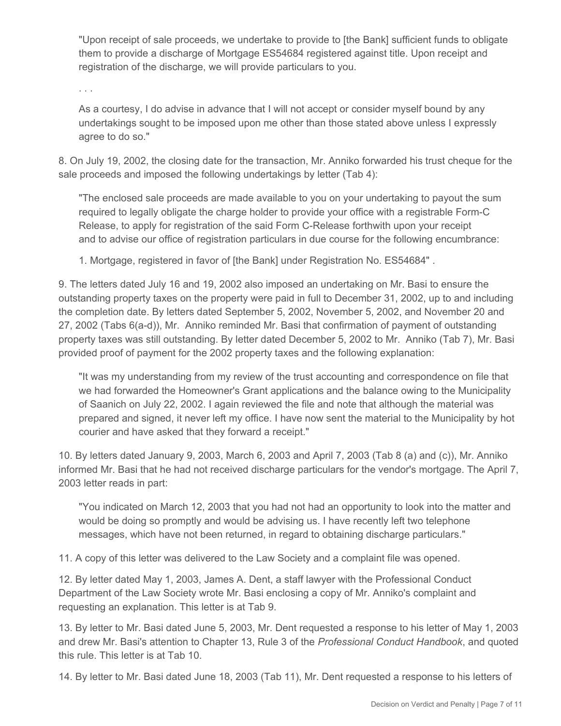"Upon receipt of sale proceeds, we undertake to provide to [the Bank] sufficient funds to obligate them to provide a discharge of Mortgage ES54684 registered against title. Upon receipt and registration of the discharge, we will provide particulars to you.

. . .

As a courtesy, I do advise in advance that I will not accept or consider myself bound by any undertakings sought to be imposed upon me other than those stated above unless I expressly agree to do so."

8. On July 19, 2002, the closing date for the transaction, Mr. Anniko forwarded his trust cheque for the sale proceeds and imposed the following undertakings by letter (Tab 4):

"The enclosed sale proceeds are made available to you on your undertaking to payout the sum required to legally obligate the charge holder to provide your office with a registrable Form-C Release, to apply for registration of the said Form C-Release forthwith upon your receipt and to advise our office of registration particulars in due course for the following encumbrance:

1. Mortgage, registered in favor of [the Bank] under Registration No. ES54684" .

9. The letters dated July 16 and 19, 2002 also imposed an undertaking on Mr. Basi to ensure the outstanding property taxes on the property were paid in full to December 31, 2002, up to and including the completion date. By letters dated September 5, 2002, November 5, 2002, and November 20 and 27, 2002 (Tabs 6(a-d)), Mr. Anniko reminded Mr. Basi that confirmation of payment of outstanding property taxes was still outstanding. By letter dated December 5, 2002 to Mr. Anniko (Tab 7), Mr. Basi provided proof of payment for the 2002 property taxes and the following explanation:

"It was my understanding from my review of the trust accounting and correspondence on file that we had forwarded the Homeowner's Grant applications and the balance owing to the Municipality of Saanich on July 22, 2002. I again reviewed the file and note that although the material was prepared and signed, it never left my office. I have now sent the material to the Municipality by hot courier and have asked that they forward a receipt."

10. By letters dated January 9, 2003, March 6, 2003 and April 7, 2003 (Tab 8 (a) and (c)), Mr. Anniko informed Mr. Basi that he had not received discharge particulars for the vendor's mortgage. The April 7, 2003 letter reads in part:

"You indicated on March 12, 2003 that you had not had an opportunity to look into the matter and would be doing so promptly and would be advising us. I have recently left two telephone messages, which have not been returned, in regard to obtaining discharge particulars."

11. A copy of this letter was delivered to the Law Society and a complaint file was opened.

12. By letter dated May 1, 2003, James A. Dent, a staff lawyer with the Professional Conduct Department of the Law Society wrote Mr. Basi enclosing a copy of Mr. Anniko's complaint and requesting an explanation. This letter is at Tab 9.

13. By letter to Mr. Basi dated June 5, 2003, Mr. Dent requested a response to his letter of May 1, 2003 and drew Mr. Basi's attention to Chapter 13, Rule 3 of the *Professional Conduct Handbook*, and quoted this rule. This letter is at Tab 10.

14. By letter to Mr. Basi dated June 18, 2003 (Tab 11), Mr. Dent requested a response to his letters of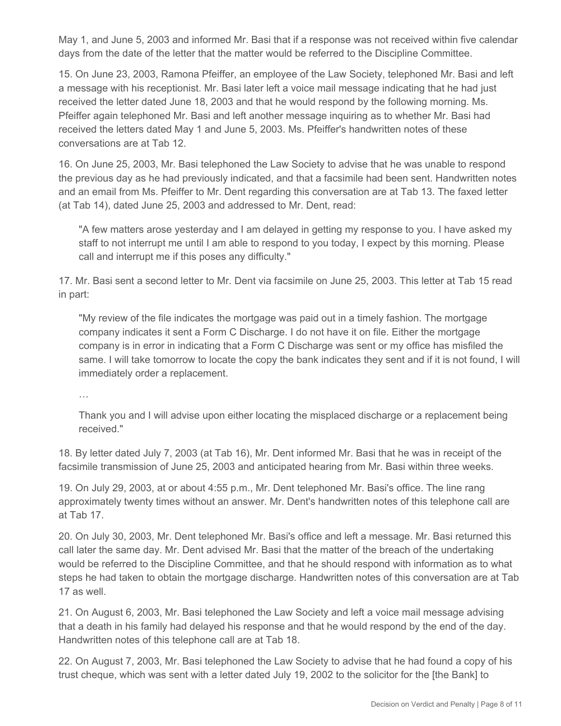May 1, and June 5, 2003 and informed Mr. Basi that if a response was not received within five calendar days from the date of the letter that the matter would be referred to the Discipline Committee.

15. On June 23, 2003, Ramona Pfeiffer, an employee of the Law Society, telephoned Mr. Basi and left a message with his receptionist. Mr. Basi later left a voice mail message indicating that he had just received the letter dated June 18, 2003 and that he would respond by the following morning. Ms. Pfeiffer again telephoned Mr. Basi and left another message inquiring as to whether Mr. Basi had received the letters dated May 1 and June 5, 2003. Ms. Pfeiffer's handwritten notes of these conversations are at Tab 12.

16. On June 25, 2003, Mr. Basi telephoned the Law Society to advise that he was unable to respond the previous day as he had previously indicated, and that a facsimile had been sent. Handwritten notes and an email from Ms. Pfeiffer to Mr. Dent regarding this conversation are at Tab 13. The faxed letter (at Tab 14), dated June 25, 2003 and addressed to Mr. Dent, read:

"A few matters arose yesterday and I am delayed in getting my response to you. I have asked my staff to not interrupt me until I am able to respond to you today, I expect by this morning. Please call and interrupt me if this poses any difficulty."

17. Mr. Basi sent a second letter to Mr. Dent via facsimile on June 25, 2003. This letter at Tab 15 read in part:

"My review of the file indicates the mortgage was paid out in a timely fashion. The mortgage company indicates it sent a Form C Discharge. I do not have it on file. Either the mortgage company is in error in indicating that a Form C Discharge was sent or my office has misfiled the same. I will take tomorrow to locate the copy the bank indicates they sent and if it is not found, I will immediately order a replacement.

…

Thank you and I will advise upon either locating the misplaced discharge or a replacement being received."

18. By letter dated July 7, 2003 (at Tab 16), Mr. Dent informed Mr. Basi that he was in receipt of the facsimile transmission of June 25, 2003 and anticipated hearing from Mr. Basi within three weeks.

19. On July 29, 2003, at or about 4:55 p.m., Mr. Dent telephoned Mr. Basi's office. The line rang approximately twenty times without an answer. Mr. Dent's handwritten notes of this telephone call are at Tab 17.

20. On July 30, 2003, Mr. Dent telephoned Mr. Basi's office and left a message. Mr. Basi returned this call later the same day. Mr. Dent advised Mr. Basi that the matter of the breach of the undertaking would be referred to the Discipline Committee, and that he should respond with information as to what steps he had taken to obtain the mortgage discharge. Handwritten notes of this conversation are at Tab 17 as well.

21. On August 6, 2003, Mr. Basi telephoned the Law Society and left a voice mail message advising that a death in his family had delayed his response and that he would respond by the end of the day. Handwritten notes of this telephone call are at Tab 18.

22. On August 7, 2003, Mr. Basi telephoned the Law Society to advise that he had found a copy of his trust cheque, which was sent with a letter dated July 19, 2002 to the solicitor for the [the Bank] to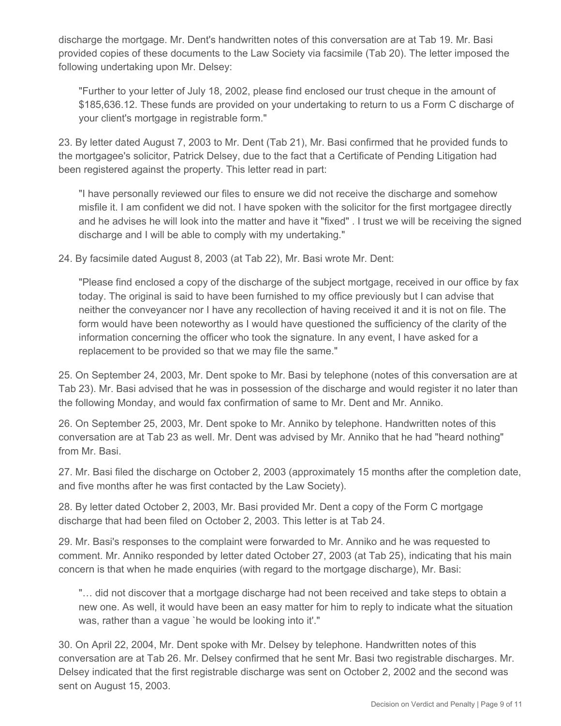discharge the mortgage. Mr. Dent's handwritten notes of this conversation are at Tab 19. Mr. Basi provided copies of these documents to the Law Society via facsimile (Tab 20). The letter imposed the following undertaking upon Mr. Delsey:

"Further to your letter of July 18, 2002, please find enclosed our trust cheque in the amount of \$185,636.12. These funds are provided on your undertaking to return to us a Form C discharge of your client's mortgage in registrable form."

23. By letter dated August 7, 2003 to Mr. Dent (Tab 21), Mr. Basi confirmed that he provided funds to the mortgagee's solicitor, Patrick Delsey, due to the fact that a Certificate of Pending Litigation had been registered against the property. This letter read in part:

"I have personally reviewed our files to ensure we did not receive the discharge and somehow misfile it. I am confident we did not. I have spoken with the solicitor for the first mortgagee directly and he advises he will look into the matter and have it "fixed" . I trust we will be receiving the signed discharge and I will be able to comply with my undertaking."

24. By facsimile dated August 8, 2003 (at Tab 22), Mr. Basi wrote Mr. Dent:

"Please find enclosed a copy of the discharge of the subject mortgage, received in our office by fax today. The original is said to have been furnished to my office previously but I can advise that neither the conveyancer nor I have any recollection of having received it and it is not on file. The form would have been noteworthy as I would have questioned the sufficiency of the clarity of the information concerning the officer who took the signature. In any event, I have asked for a replacement to be provided so that we may file the same."

25. On September 24, 2003, Mr. Dent spoke to Mr. Basi by telephone (notes of this conversation are at Tab 23). Mr. Basi advised that he was in possession of the discharge and would register it no later than the following Monday, and would fax confirmation of same to Mr. Dent and Mr. Anniko.

26. On September 25, 2003, Mr. Dent spoke to Mr. Anniko by telephone. Handwritten notes of this conversation are at Tab 23 as well. Mr. Dent was advised by Mr. Anniko that he had "heard nothing" from Mr. Basi.

27. Mr. Basi filed the discharge on October 2, 2003 (approximately 15 months after the completion date, and five months after he was first contacted by the Law Society).

28. By letter dated October 2, 2003, Mr. Basi provided Mr. Dent a copy of the Form C mortgage discharge that had been filed on October 2, 2003. This letter is at Tab 24.

29. Mr. Basi's responses to the complaint were forwarded to Mr. Anniko and he was requested to comment. Mr. Anniko responded by letter dated October 27, 2003 (at Tab 25), indicating that his main concern is that when he made enquiries (with regard to the mortgage discharge), Mr. Basi:

"… did not discover that a mortgage discharge had not been received and take steps to obtain a new one. As well, it would have been an easy matter for him to reply to indicate what the situation was, rather than a vague `he would be looking into it'."

30. On April 22, 2004, Mr. Dent spoke with Mr. Delsey by telephone. Handwritten notes of this conversation are at Tab 26. Mr. Delsey confirmed that he sent Mr. Basi two registrable discharges. Mr. Delsey indicated that the first registrable discharge was sent on October 2, 2002 and the second was sent on August 15, 2003.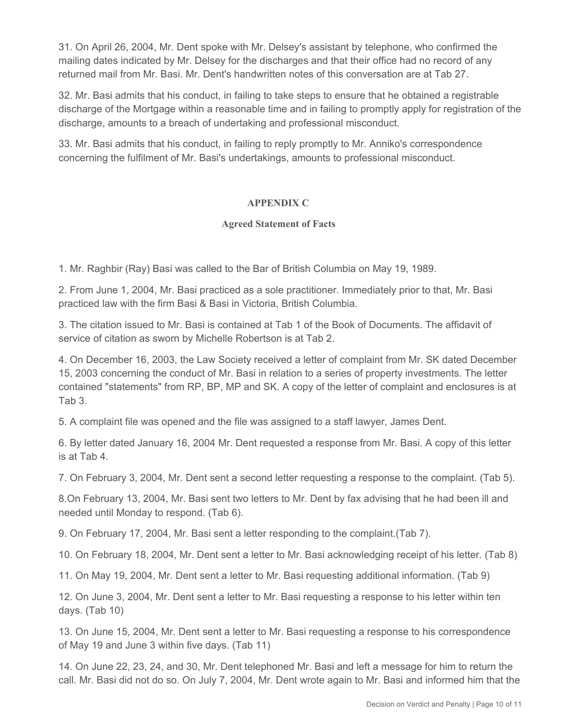31. On April 26, 2004, Mr. Dent spoke with Mr. Delsey's assistant by telephone, who confirmed the mailing dates indicated by Mr. Delsey for the discharges and that their office had no record of any returned mail from Mr. Basi. Mr. Dent's handwritten notes of this conversation are at Tab 27.

32. Mr. Basi admits that his conduct, in failing to take steps to ensure that he obtained a registrable discharge of the Mortgage within a reasonable time and in failing to promptly apply for registration of the discharge, amounts to a breach of undertaking and professional misconduct.

33. Mr. Basi admits that his conduct, in failing to reply promptly to Mr. Anniko's correspondence concerning the fulfilment of Mr. Basi's undertakings, amounts to professional misconduct.

# **APPENDIX C**

## **Agreed Statement of Facts**

1. Mr. Raghbir (Ray) Basi was called to the Bar of British Columbia on May 19, 1989.

2. From June 1, 2004, Mr. Basi practiced as a sole practitioner. Immediately prior to that, Mr. Basi practiced law with the firm Basi & Basi in Victoria, British Columbia.

3. The citation issued to Mr. Basi is contained at Tab 1 of the Book of Documents. The affidavit of service of citation as sworn by Michelle Robertson is at Tab 2.

4. On December 16, 2003, the Law Society received a letter of complaint from Mr. SK dated December 15, 2003 concerning the conduct of Mr. Basi in relation to a series of property investments. The letter contained "statements" from RP, BP, MP and SK. A copy of the letter of complaint and enclosures is at Tab 3.

5. A complaint file was opened and the file was assigned to a staff lawyer, James Dent.

6. By letter dated January 16, 2004 Mr. Dent requested a response from Mr. Basi. A copy of this letter is at Tab 4.

7. On February 3, 2004, Mr. Dent sent a second letter requesting a response to the complaint. (Tab 5).

8.On February 13, 2004, Mr. Basi sent two letters to Mr. Dent by fax advising that he had been ill and needed until Monday to respond. (Tab 6).

9. On February 17, 2004, Mr. Basi sent a letter responding to the complaint.(Tab 7).

10. On February 18, 2004, Mr. Dent sent a letter to Mr. Basi acknowledging receipt of his letter. (Tab 8)

11. On May 19, 2004, Mr. Dent sent a letter to Mr. Basi requesting additional information. (Tab 9)

12. On June 3, 2004, Mr. Dent sent a letter to Mr. Basi requesting a response to his letter within ten days. (Tab 10)

13. On June 15, 2004, Mr. Dent sent a letter to Mr. Basi requesting a response to his correspondence of May 19 and June 3 within five days. (Tab 11)

14. On June 22, 23, 24, and 30, Mr. Dent telephoned Mr. Basi and left a message for him to return the call. Mr. Basi did not do so. On July 7, 2004, Mr. Dent wrote again to Mr. Basi and informed him that the